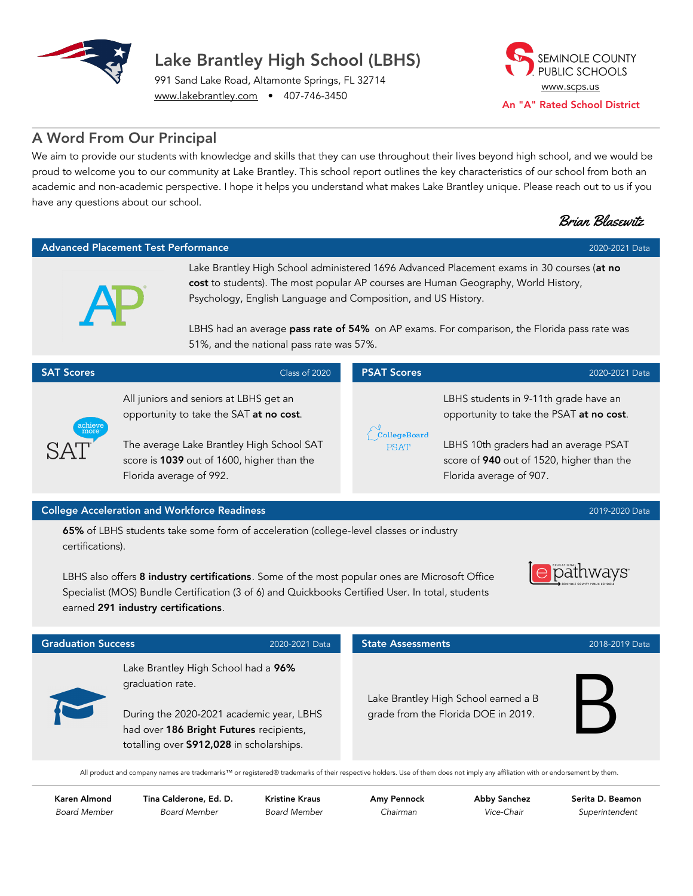

SEMINOLE COUNTY PUBLIC SCHOOLS [www.scps.us](http://www.scps.us) An "A" Rated School District

991 Sand Lake Road, Altamonte Springs, FL 32714 [www.lakebrantley.com](http://www.lakebrantley.com/) • 407-746-3450

## A Word From Our Principal

We aim to provide our students with knowledge and skills that they can use throughout their lives beyond high school, and we would be proud to welcome you to our community at Lake Brantley. This school report outlines the key characteristics of our school from both an academic and non-academic perspective. I hope it helps you understand what makes Lake Brantley unique. Please reach out to us if you have any questions about our school.

|                                                                                                            |                                                                                                                                                                                                         |                                                                                                                                                                                                                                                                                                                                                                                             | <b>Brian Blasewitz</b>                                                                                                                                                                             |  |  |  |
|------------------------------------------------------------------------------------------------------------|---------------------------------------------------------------------------------------------------------------------------------------------------------------------------------------------------------|---------------------------------------------------------------------------------------------------------------------------------------------------------------------------------------------------------------------------------------------------------------------------------------------------------------------------------------------------------------------------------------------|----------------------------------------------------------------------------------------------------------------------------------------------------------------------------------------------------|--|--|--|
| <b>Advanced Placement Test Performance</b><br>2020-2021 Data                                               |                                                                                                                                                                                                         |                                                                                                                                                                                                                                                                                                                                                                                             |                                                                                                                                                                                                    |  |  |  |
|                                                                                                            |                                                                                                                                                                                                         | Lake Brantley High School administered 1696 Advanced Placement exams in 30 courses (at no<br>cost to students). The most popular AP courses are Human Geography, World History,<br>Psychology, English Language and Composition, and US History.<br>LBHS had an average pass rate of 54% on AP exams. For comparison, the Florida pass rate was<br>51%, and the national pass rate was 57%. |                                                                                                                                                                                                    |  |  |  |
| <b>SAT Scores</b>                                                                                          | Class of 2020                                                                                                                                                                                           | <b>PSAT Scores</b>                                                                                                                                                                                                                                                                                                                                                                          | 2020-2021 Data                                                                                                                                                                                     |  |  |  |
| achiev<br>more                                                                                             | All juniors and seniors at LBHS get an<br>opportunity to take the SAT at no cost.<br>The average Lake Brantley High School SAT<br>score is 1039 out of 1600, higher than the<br>Florida average of 992. |                                                                                                                                                                                                                                                                                                                                                                                             | LBHS students in 9-11th grade have an<br>opportunity to take the PSAT at no cost.<br>LBHS 10th graders had an average PSAT<br>score of 940 out of 1520, higher than the<br>Florida average of 907. |  |  |  |
| <b>College Acceleration and Workforce Readiness</b><br>2019-2020 Data                                      |                                                                                                                                                                                                         |                                                                                                                                                                                                                                                                                                                                                                                             |                                                                                                                                                                                                    |  |  |  |
| 65% of LBHS students take some form of acceleration (college-level classes or industry<br>certifications). |                                                                                                                                                                                                         |                                                                                                                                                                                                                                                                                                                                                                                             |                                                                                                                                                                                                    |  |  |  |

LBHS also offers 8 industry certifications. Some of the most popular ones are Microsoft Office Specialist (MOS) Bundle Certification (3 of 6) and Quickbooks Certified User. In total, students earned 291 industry certifications.

| EDUCATIONAL <sup>T</sup><br>atriwa<br>EMINOLE COUNTY PUBLIC SCHOOLS |
|---------------------------------------------------------------------|
|---------------------------------------------------------------------|

| <b>Graduation Success</b> |                                                                                                                                                                                             | 2020-2021 Data | <b>State Assessments</b>                                                    | 2018-2019 Data |
|---------------------------|---------------------------------------------------------------------------------------------------------------------------------------------------------------------------------------------|----------------|-----------------------------------------------------------------------------|----------------|
|                           | Lake Brantley High School had a 96%<br>graduation rate.<br>During the 2020-2021 academic year, LBHS<br>had over 186 Bright Futures recipients,<br>totalling over \$912,028 in scholarships. |                | Lake Brantley High School earned a B<br>grade from the Florida DOE in 2019. |                |

All product and company names are trademarks™ or registered® trademarks of their respective holders. Use of them does not imply any affiliation with or endorsement by them.

Karen Almond Board Member Tina Calderone, Ed. D. Board Member

Kristine Kraus Board Member Amy Pennock Chairman

Abby Sanchez Vice-Chair

Serita D. Beamon Superintendent